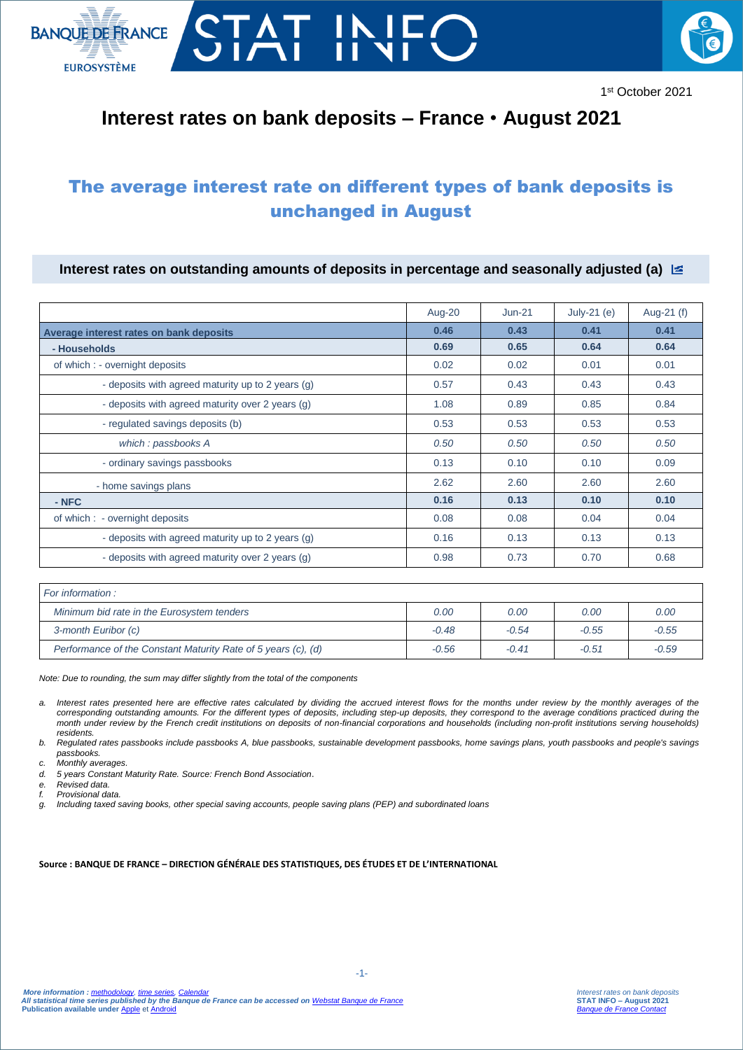



## **Interest rates on bank deposits – France** • **August 2021**

## The average interest rate on different types of bank deposits is unchanged in August

**Interest rates on outstanding amounts of deposits in percentage and seasonally adjusted (a)** 

|                                                   | Aug-20 | $Jun-21$ | July-21 $(e)$ | Aug-21 (f) |
|---------------------------------------------------|--------|----------|---------------|------------|
| Average interest rates on bank deposits           | 0.46   | 0.43     | 0.41          | 0.41       |
| - Households                                      | 0.69   | 0.65     | 0.64          | 0.64       |
| of which : - overnight deposits                   | 0.02   | 0.02     | 0.01          | 0.01       |
| - deposits with agreed maturity up to 2 years (g) | 0.57   | 0.43     | 0.43          | 0.43       |
| - deposits with agreed maturity over 2 years (g)  | 1.08   | 0.89     | 0.85          | 0.84       |
| - regulated savings deposits (b)                  | 0.53   | 0.53     | 0.53          | 0.53       |
| which: passbooks A                                | 0.50   | 0.50     | 0.50          | 0.50       |
| - ordinary savings passbooks                      | 0.13   | 0.10     | 0.10          | 0.09       |
| - home savings plans                              | 2.62   | 2.60     | 2.60          | 2.60       |
| - NFC                                             | 0.16   | 0.13     | 0.10          | 0.10       |
| of which : - overnight deposits                   | 0.08   | 0.08     | 0.04          | 0.04       |
| - deposits with agreed maturity up to 2 years (g) | 0.16   | 0.13     | 0.13          | 0.13       |
| - deposits with agreed maturity over 2 years (g)  | 0.98   | 0.73     | 0.70          | 0.68       |

| For information :                                             |         |         |         |         |  |  |
|---------------------------------------------------------------|---------|---------|---------|---------|--|--|
| Minimum bid rate in the Eurosystem tenders                    | 0.00    | 0.00    | 0.00    | 0.00    |  |  |
| 3-month Euribor (c)                                           | $-0.48$ | $-0.54$ | $-0.55$ | $-0.55$ |  |  |
| Performance of the Constant Maturity Rate of 5 years (c), (d) | $-0.56$ | $-0.41$ | $-0.51$ | $-0.59$ |  |  |

*Note: Due to rounding, the sum may differ slightly from the total of the components*

- *a. Interest rates presented here are effective rates calculated by dividing the accrued interest flows for the months under review by the monthly averages of the corresponding outstanding amounts. For the different types of deposits, including step-up deposits, they correspond to the average conditions practiced during the month under review by the French credit institutions on deposits of non-financial corporations and households (including non-profit institutions serving households) residents.*
- *b. Regulated rates passbooks include passbooks A, blue passbooks, sustainable development passbooks, home savings plans, youth passbooks and people's savings passbooks.*
- *c. Monthly averages.*
- *d. 5 years Constant Maturity Rate. Source: French Bond Association*.
- *e. Revised data.*
- *f. Provisional data.*
- *g. Including taxed saving books, other special saving accounts, people saving plans (PEP) and subordinated loans*

**Source : BANQUE DE FRANCE – DIRECTION GÉNÉRALE DES STATISTIQUES, DES ÉTUDES ET DE L'INTERNATIONAL**

-1-